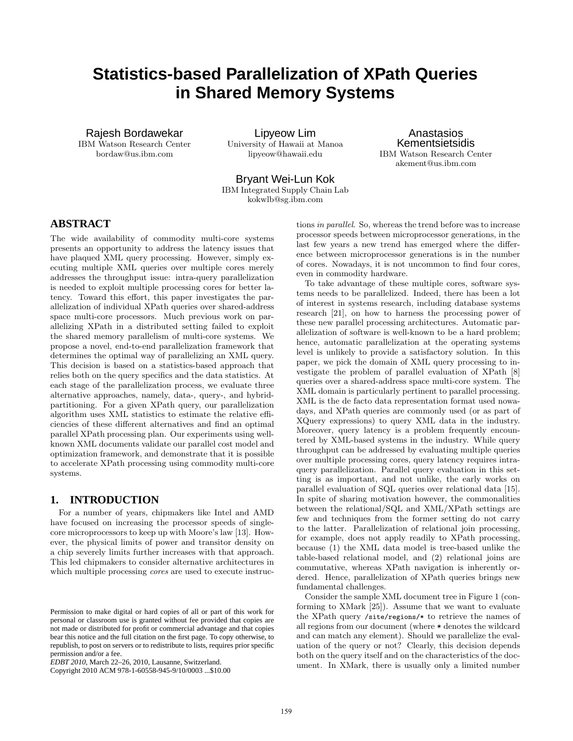# **Statistics-based Parallelization of XPath Queries in Shared Memory Systems**

Rajesh Bordawekar IBM Watson Research Center bordaw@us.ibm.com

Lipyeow Lim University of Hawaii at Manoa lipyeow@hawaii.edu

Anastasios Kementsietsidis IBM Watson Research Center akement@us.ibm.com

Bryant Wei-Lun Kok IBM Integrated Supply Chain Lab kokwlb@sg.ibm.com

# **ABSTRACT**

The wide availability of commodity multi-core systems presents an opportunity to address the latency issues that have plaqued XML query processing. However, simply executing multiple XML queries over multiple cores merely addresses the throughput issue: intra-query parallelization is needed to exploit multiple processing cores for better latency. Toward this effort, this paper investigates the parallelization of individual XPath queries over shared-address space multi-core processors. Much previous work on parallelizing XPath in a distributed setting failed to exploit the shared memory parallelism of multi-core systems. We propose a novel, end-to-end parallelization framework that determines the optimal way of parallelizing an XML query. This decision is based on a statistics-based approach that relies both on the query specifics and the data statistics. At each stage of the parallelization process, we evaluate three alternative approaches, namely, data-, query-, and hybridpartitioning. For a given XPath query, our parallelization algorithm uses XML statistics to estimate the relative efficiencies of these different alternatives and find an optimal parallel XPath processing plan. Our experiments using wellknown XML documents validate our parallel cost model and optimization framework, and demonstrate that it is possible to accelerate XPath processing using commodity multi-core systems.

### **1. INTRODUCTION**

For a number of years, chipmakers like Intel and AMD have focused on increasing the processor speeds of singlecore microprocessors to keep up with Moore's law [13]. However, the physical limits of power and transitor density on a chip severely limits further increases with that approach. This led chipmakers to consider alternative architectures in which multiple processing *cores* are used to execute instructions in parallel. So, whereas the trend before was to increase processor speeds between microprocessor generations, in the last few years a new trend has emerged where the difference between microprocessor generations is in the number of cores. Nowadays, it is not uncommon to find four cores, even in commodity hardware.

To take advantage of these multiple cores, software systems needs to be parallelized. Indeed, there has been a lot of interest in systems research, including database systems research [21], on how to harness the processing power of these new parallel processing architectures. Automatic parallelization of software is well-known to be a hard problem; hence, automatic parallelization at the operating systems level is unlikely to provide a satisfactory solution. In this paper, we pick the domain of XML query processing to investigate the problem of parallel evaluation of XPath [8] queries over a shared-address space multi-core system. The XML domain is particularly pertinent to parallel processing. XML is the de facto data representation format used nowadays, and XPath queries are commonly used (or as part of XQuery expressions) to query XML data in the industry. Moreover, query latency is a problem frequently encountered by XML-based systems in the industry. While query throughput can be addressed by evaluating multiple queries over multiple processing cores, query latency requires intraquery parallelization. Parallel query evaluation in this setting is as important, and not unlike, the early works on parallel evaluation of SQL queries over relational data [15]. In spite of sharing motivation however, the commonalities between the relational/SQL and XML/XPath settings are few and techniques from the former setting do not carry to the latter. Parallelization of relational join processing, for example, does not apply readily to XPath processing, because (1) the XML data model is tree-based unlike the table-based relational model, and (2) relational joins are commutative, whereas XPath navigation is inherently ordered. Hence, parallelization of XPath queries brings new fundamental challenges.

Consider the sample XML document tree in Figure 1 (conforming to XMark [25]). Assume that we want to evaluate the XPath query /site/regions/\* to retrieve the names of all regions from our document (where \* denotes the wildcard and can match any element). Should we parallelize the evaluation of the query or not? Clearly, this decision depends both on the query itself and on the characteristics of the document. In XMark, there is usually only a limited number

Permission to make digital or hard copies of all or part of this work for personal or classroom use is granted without fee provided that copies are not made or distributed for profit or commercial advantage and that copies bear this notice and the full citation on the first page. To copy otherwise, to republish, to post on servers or to redistribute to lists, requires prior specific permission and/or a fee.

*EDBT 2010*, March 22–26, 2010, Lausanne, Switzerland.

Copyright 2010 ACM 978-1-60558-945-9/10/0003 ...\$10.00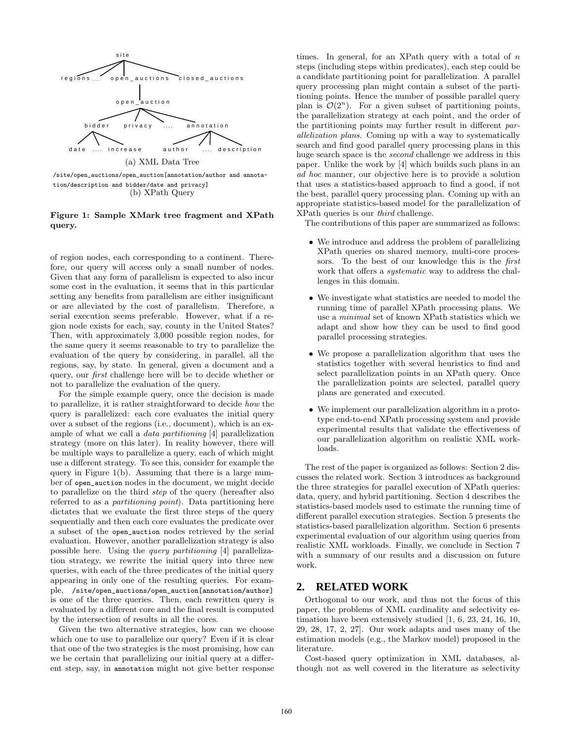

(b) XPath Query

### Figure 1: Sample XMark tree fragment and XPath query.

of region nodes, each corresponding to a continent. Therefore, our query will access only a small number of nodes. Given that any form of parallelism is expected to also incur some cost in the evaluation, it seems that in this particular setting any benefits from parallelism are either insignificant or are alleviated by the cost of parallelism. Therefore, a serial execution seems preferable. However, what if a region node exists for each, say, county in the United States? Then, with approximately 3,000 possible region nodes, for the same query it seems reasonable to try to parallelize the evaluation of the query by considering, in parallel, all the regions, say, by state. In general, given a document and a query, our first challenge here will be to decide whether or not to parallelize the evaluation of the query.

For the simple example query, once the decision is made to parallelize, it is rather straightforward to decide how the query is parallelized: each core evaluates the initial query over a subset of the regions (i.e., document), which is an example of what we call a data partitioning [4] parallelization strategy (more on this later). In reality however, there will be multiple ways to parallelize a query, each of which might use a different strategy. To see this, consider for example the query in Figure 1(b). Assuming that there is a large number of open\_auction nodes in the document, we might decide to parallelize on the third step of the query (hereafter also referred to as a partitioning point). Data partitioning here dictates that we evaluate the first three steps of the query sequentially and then each core evaluates the predicate over a subset of the open\_auction nodes retrieved by the serial evaluation. However, another parallelization strategy is also possible here. Using the query partitioning [4] parallelization strategy, we rewrite the initial query into three new queries, with each of the three predicates of the initial query appearing in only one of the resulting queries. For example, /site/open\_auctions/open\_auction[annotation/author] is one of the three queries. Then, each rewritten query is evaluated by a different core and the final result is computed by the intersection of results in all the cores.

Given the two alternative strategies, how can we choose which one to use to parallelize our query? Even if it is clear that one of the two strategies is the most promising, how can we be certain that parallelizing our initial query at a different step, say, in annotation might not give better response times. In general, for an XPath query with a total of  $n$ steps (including steps within predicates), each step could be a candidate partitioning point for parallelization. A parallel query processing plan might contain a subset of the partitioning points. Hence the number of possible parallel query plan is  $\mathcal{O}(2^n)$ . For a given subset of partitioning points, the parallelization strategy at each point, and the order of the partitioning points may further result in different parallelization plans. Coming up with a way to systematically search and find good parallel query processing plans in this huge search space is the second challenge we address in this paper. Unlike the work by [4] which builds such plans in an ad hoc manner, our objective here is to provide a solution that uses a statistics-based approach to find a good, if not the best, parallel query processing plan. Coming up with an appropriate statistics-based model for the parallelization of XPath queries is our third challenge.

The contributions of this paper are summarized as follows:

- We introduce and address the problem of parallelizing XPath queries on shared memory, multi-core processors. To the best of our knowledge this is the first work that offers a *systematic* way to address the challenges in this domain.
- We investigate what statistics are needed to model the running time of parallel XPath processing plans. We use a minimal set of known XPath statistics which we adapt and show how they can be used to find good parallel processing strategies.
- We propose a parallelization algorithm that uses the statistics together with several heuristics to find and select parallelization points in an XPath query. Once the parallelization points are selected, parallel query plans are generated and executed.
- We implement our parallelization algorithm in a prototype end-to-end XPath processing system and provide experimental results that validate the effectiveness of our parallelization algorithm on realistic XML workloads.

The rest of the paper is organized as follows: Section 2 discusses the related work. Section 3 introduces as background the three strategies for parallel execution of XPath queries: data, query, and hybrid partitioning. Section 4 describes the statistics-based models used to estimate the running time of different parallel execution strategies. Section 5 presents the statistics-based parallelization algorithm. Section 6 presents experimental evaluation of our algorithm using queries from realistic XML workloads. Finally, we conclude in Section 7 with a summary of our results and a discussion on future work.

# **2. RELATED WORK**

Orthogonal to our work, and thus not the focus of this paper, the problems of XML cardinality and selectivity estimation have been extensively studied [1, 6, 23, 24, 16, 10, 29, 28, 17, 2, 27]. Our work adapts and uses many of the estimation models (e.g., the Markov model) proposed in the literature.

Cost-based query optimization in XML databases, although not as well covered in the literature as selectivity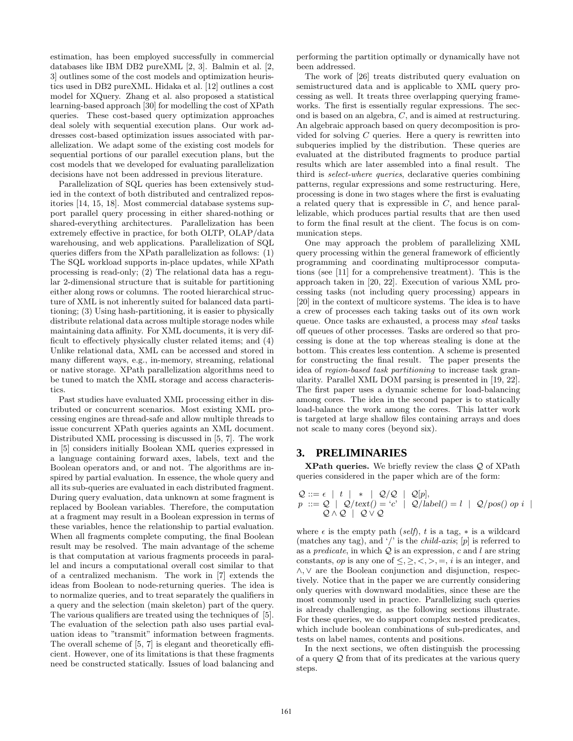estimation, has been employed successfully in commercial databases like IBM DB2 pureXML [2, 3]. Balmin et al. [2, 3] outlines some of the cost models and optimization heuristics used in DB2 pureXML. Hidaka et al. [12] outlines a cost model for XQuery. Zhang et al. also proposed a statistical learning-based approach [30] for modelling the cost of XPath queries. These cost-based query optimization approaches deal solely with sequential execution plans. Our work addresses cost-based optimization issues associated with parallelization. We adapt some of the existing cost models for sequential portions of our parallel execution plans, but the cost models that we developed for evaluating parallelization decisions have not been addressed in previous literature.

Parallelization of SQL queries has been extensively studied in the context of both distributed and centralized repositories [14, 15, 18]. Most commercial database systems support parallel query processing in either shared-nothing or shared-everything architectures. Parallelization has been extremely effective in practice, for both OLTP, OLAP/data warehousing, and web applications. Parallelization of SQL queries differs from the XPath parallelization as follows: (1) The SQL workload supports in-place updates, while XPath processing is read-only; (2) The relational data has a regular 2-dimensional structure that is suitable for partitioning either along rows or columns. The rooted hierarchical structure of XML is not inherently suited for balanced data partitioning; (3) Using hash-partitioning, it is easier to physically distribute relational data across multiple storage nodes while maintaining data affinity. For XML documents, it is very difficult to effectively physically cluster related items; and (4) Unlike relational data, XML can be accessed and stored in many different ways, e.g., in-memory, streaming, relational or native storage. XPath parallelization algorithms need to be tuned to match the XML storage and access characteristics.

Past studies have evaluated XML processing either in distributed or concurrent scenarios. Most existing XML processing engines are thread-safe and allow multiple threads to issue concurrent XPath queries againts an XML document. Distributed XML processing is discussed in [5, 7]. The work in [5] considers initially Boolean XML queries expressed in a language containing forward axes, labels, text and the Boolean operators and, or and not. The algorithms are inspired by partial evaluation. In essence, the whole query and all its sub-queries are evaluated in each distributed fragment. During query evaluation, data unknown at some fragment is replaced by Boolean variables. Therefore, the computation at a fragment may result in a Boolean expression in terms of these variables, hence the relationship to partial evaluation. When all fragments complete computing, the final Boolean result may be resolved. The main advantage of the scheme is that computation at various fragments proceeds in parallel and incurs a computational overall cost similar to that of a centralized mechanism. The work in [7] extends the ideas from Boolean to node-returning queries. The idea is to normalize queries, and to treat separately the qualifiers in a query and the selection (main skeleton) part of the query. The various qualifiers are treated using the techniques of [5]. The evaluation of the selection path also uses partial evaluation ideas to "transmit" information between fragments. The overall scheme of [5, 7] is elegant and theoretically efficient. However, one of its limitations is that these fragments need be constructed statically. Issues of load balancing and

performing the partition optimally or dynamically have not been addressed.

The work of [26] treats distributed query evaluation on semistructured data and is applicable to XML query processing as well. It treats three overlapping querying frameworks. The first is essentially regular expressions. The second is based on an algebra, C, and is aimed at restructuring. An algebraic approach based on query decomposition is provided for solving  $C$  queries. Here a query is rewritten into subqueries implied by the distribution. These queries are evaluated at the distributed fragments to produce partial results which are later assembled into a final result. The third is select-where queries, declarative queries combining patterns, regular expressions and some restructuring. Here, processing is done in two stages where the first is evaluating a related query that is expressible in C, and hence parallelizable, which produces partial results that are then used to form the final result at the client. The focus is on communication steps.

One may approach the problem of parallelizing XML query processing within the general framework of efficiently programming and coordinating multiprocessor computations (see [11] for a comprehensive treatment). This is the approach taken in [20, 22]. Execution of various XML processing tasks (not including query processing) appears in [20] in the context of multicore systems. The idea is to have a crew of processes each taking tasks out of its own work queue. Once tasks are exhausted, a process may steal tasks off queues of other processes. Tasks are ordered so that processing is done at the top whereas stealing is done at the bottom. This creates less contention. A scheme is presented for constructing the final result. The paper presents the idea of region-based task partitioning to increase task granularity. Parallel XML DOM parsing is presented in [19, 22]. The first paper uses a dynamic scheme for load-balancing among cores. The idea in the second paper is to statically load-balance the work among the cores. This latter work is targeted at large shallow files containing arrays and does not scale to many cores (beyond six).

### **3. PRELIMINARIES**

**XPath queries.** We briefly review the class  $Q$  of XPath queries considered in the paper which are of the form:

$$
\begin{array}{l}\n\mathcal{Q} ::= \epsilon \mid t \mid * \mid \mathcal{Q}/\mathcal{Q} \mid \mathcal{Q}[p], \\
p ::= \mathcal{Q} \mid \mathcal{Q}/\text{text}) = 'c' \mid \mathcal{Q}/\text{label}) = l \mid \mathcal{Q}/\text{pos}() \text{ op } i \mid \\
\mathcal{Q} \land \mathcal{Q} \mid \mathcal{Q} \lor \mathcal{Q}\n\end{array}
$$

where  $\epsilon$  is the empty path (self), t is a tag,  $*$  is a wildcard (matches any tag), and '/' is the *child-axis*;  $[p]$  is referred to as a *predicate*, in which  $Q$  is an expression, c and l are string constants, *op* is any one of  $\leq, \geq, \lt, \gt, =$ , *i* is an integer, and ∧, ∨ are the Boolean conjunction and disjunction, respectively. Notice that in the paper we are currently considering only queries with downward modalities, since these are the most commonly used in practice. Parallelizing such queries is already challenging, as the following sections illustrate. For these queries, we do support complex nested predicates, which include boolean combinations of sub-predicates, and tests on label names, contents and positions.

In the next sections, we often distinguish the processing of a query Q from that of its predicates at the various query steps.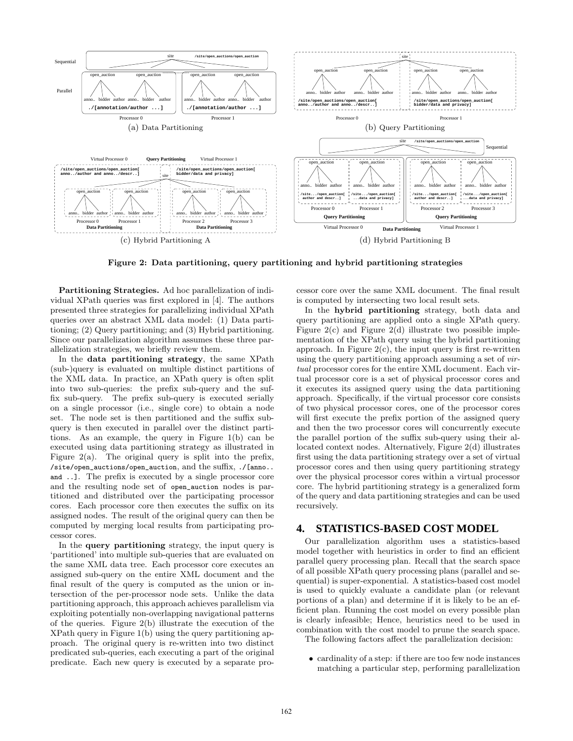

Figure 2: Data partitioning, query partitioning and hybrid partitioning strategies

Partitioning Strategies. Ad hoc parallelization of individual XPath queries was first explored in [4]. The authors presented three strategies for parallelizing individual XPath queries over an abstract XML data model: (1) Data partitioning; (2) Query partitioning; and (3) Hybrid partitioning. Since our parallelization algorithm assumes these three parallelization strategies, we briefly review them.

In the data partitioning strategy, the same XPath (sub-)query is evaluated on multiple distinct partitions of the XML data. In practice, an XPath query is often split into two sub-queries: the prefix sub-query and the suffix sub-query. The prefix sub-query is executed serially on a single processor (i.e., single core) to obtain a node set. The node set is then partitioned and the suffix subquery is then executed in parallel over the distinct partitions. As an example, the query in Figure 1(b) can be executed using data partitioning strategy as illustrated in Figure  $2(a)$ . The original query is split into the prefix, /site/open\_auctions/open\_auction, and the suffix, ./[anno.. and ..]. The prefix is executed by a single processor core and the resulting node set of open\_auction nodes is partitioned and distributed over the participating processor cores. Each processor core then executes the suffix on its assigned nodes. The result of the original query can then be computed by merging local results from participating processor cores.

In the query partitioning strategy, the input query is 'partitioned' into multiple sub-queries that are evaluated on the same XML data tree. Each processor core executes an assigned sub-query on the entire XML document and the final result of the query is computed as the union or intersection of the per-processor node sets. Unlike the data partitioning approach, this approach achieves parallelism via exploiting potentially non-overlapping navigational patterns of the queries. Figure 2(b) illustrate the execution of the XPath query in Figure 1(b) using the query partitioning approach. The original query is re-written into two distinct predicated sub-queries, each executing a part of the original predicate. Each new query is executed by a separate processor core over the same XML document. The final result is computed by intersecting two local result sets.

In the hybrid partitioning strategy, both data and query partitioning are applied onto a single XPath query. Figure  $2(c)$  and Figure  $2(d)$  illustrate two possible implementation of the XPath query using the hybrid partitioning approach. In Figure  $2(c)$ , the input query is first re-written using the query partitioning approach assuming a set of virtual processor cores for the entire XML document. Each virtual processor core is a set of physical processor cores and it executes its assigned query using the data partitioning approach. Specifically, if the virtual processor core consists of two physical processor cores, one of the processor cores will first execute the prefix portion of the assigned query and then the two processor cores will concurrently execute the parallel portion of the suffix sub-query using their allocated context nodes. Alternatively, Figure 2(d) illustrates first using the data partitioning strategy over a set of virtual processor cores and then using query partitioning strategy over the physical processor cores within a virtual processor core. The hybrid partitioning strategy is a generalized form of the query and data partitioning strategies and can be used recursively.

#### **4. STATISTICS-BASED COST MODEL**

Our parallelization algorithm uses a statistics-based model together with heuristics in order to find an efficient parallel query processing plan. Recall that the search space of all possible XPath query processing plans (parallel and sequential) is super-exponential. A statistics-based cost model is used to quickly evaluate a candidate plan (or relevant portions of a plan) and determine if it is likely to be an efficient plan. Running the cost model on every possible plan is clearly infeasible; Hence, heuristics need to be used in combination with the cost model to prune the search space. The following factors affect the parallelization decision:

• cardinality of a step: if there are too few node instances matching a particular step, performing parallelization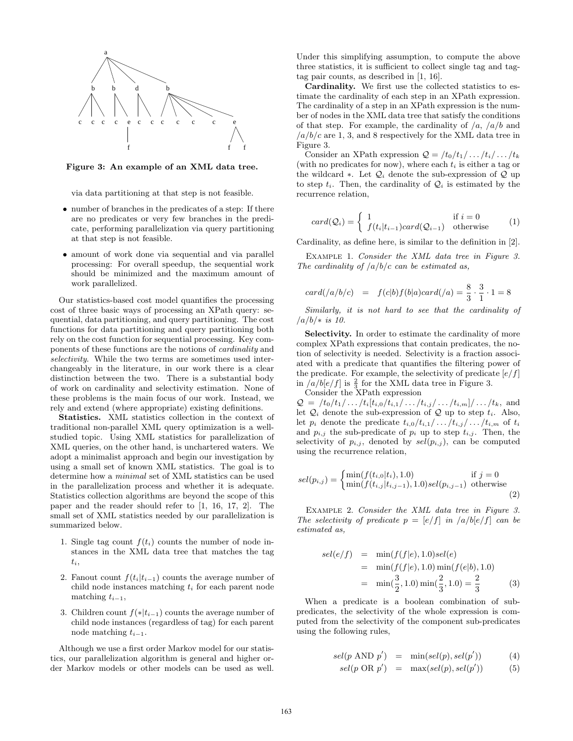

Figure 3: An example of an XML data tree.

via data partitioning at that step is not feasible.

- number of branches in the predicates of a step: If there are no predicates or very few branches in the predicate, performing parallelization via query partitioning at that step is not feasible.
- amount of work done via sequential and via parallel processing: For overall speedup, the sequential work should be minimized and the maximum amount of work parallelized.

Our statistics-based cost model quantifies the processing cost of three basic ways of processing an XPath query: sequential, data partitioning, and query partitioning. The cost functions for data partitioning and query partitioning both rely on the cost function for sequential processing. Key components of these functions are the notions of cardinality and selectivity. While the two terms are sometimes used interchangeably in the literature, in our work there is a clear distinction between the two. There is a substantial body of work on cardinality and selectivity estimation. None of these problems is the main focus of our work. Instead, we rely and extend (where appropriate) existing definitions.

Statistics. XML statistics collection in the context of traditional non-parallel XML query optimization is a wellstudied topic. Using XML statistics for parallelization of XML queries, on the other hand, is unchartered waters. We adopt a minimalist approach and begin our investigation by using a small set of known XML statistics. The goal is to determine how a minimal set of XML statistics can be used in the parallelization process and whether it is adequate. Statistics collection algorithms are beyond the scope of this paper and the reader should refer to [1, 16, 17, 2]. The small set of XML statistics needed by our parallelization is summarized below.

- 1. Single tag count  $f(t_i)$  counts the number of node instances in the XML data tree that matches the tag  $t_i$ ,
- 2. Fanout count  $f(t_i|t_{i-1})$  counts the average number of child node instances matching  $t_i$  for each parent node matching  $t_{i-1}$ ,
- 3. Children count  $f(*|t_{i-1})$  counts the average number of child node instances (regardless of tag) for each parent node matching  $t_{i-1}$ .

Although we use a first order Markov model for our statistics, our parallelization algorithm is general and higher order Markov models or other models can be used as well.

Under this simplifying assumption, to compute the above three statistics, it is sufficient to collect single tag and tagtag pair counts, as described in [1, 16].

Cardinality. We first use the collected statistics to estimate the cardinality of each step in an XPath expression. The cardinality of a step in an XPath expression is the number of nodes in the XML data tree that satisfy the conditions of that step. For example, the cardinality of  $\langle a, \, a/b \rangle$  and  $a/b/c$  are 1, 3, and 8 respectively for the XML data tree in Figure 3.

Consider an XPath expression  $\mathcal{Q} = \frac{t_0}{t_1}, \ldots, \frac{t_i}{t_k}$ (with no predicates for now), where each  $t_i$  is either a tag or the wildcard ∗. Let  $\mathcal{Q}_i$  denote the sub-expression of  $\mathcal Q$  up to step  $t_i$ . Then, the cardinality of  $\mathcal{Q}_i$  is estimated by the recurrence relation,

$$
card(Q_i) = \begin{cases} 1 & \text{if } i = 0\\ f(t_i|t_{i-1})card(Q_{i-1}) & \text{otherwise} \end{cases}
$$
 (1)

Cardinality, as define here, is similar to the definition in [2].

EXAMPLE 1. Consider the XML data tree in Figure 3. The cardinality of  $\frac{a}{b}c$  can be estimated as,

$$
card((a/b/c) = f(c|b) f(b|a) card((a) = \frac{8}{3} \cdot \frac{3}{1} \cdot 1 = 8
$$

Similarly, it is not hard to see that the cardinality of  $/a/b/*$  is 10.

Selectivity. In order to estimate the cardinality of more complex XPath expressions that contain predicates, the notion of selectivity is needed. Selectivity is a fraction associated with a predicate that quantifies the filtering power of the predicate. For example, the selectivity of predicate  $\left[\frac{e}{f}\right]$ in  $\frac{a}{b}e/f$  is  $\frac{2}{3}$  for the XML data tree in Figure 3. Consider the XPath expression

 $\mathcal{Q} = /t_0/t_1/\dots/t_i[t_{i,0}/t_{i,1}/\dots/t_{i,j}/\dots/t_{i,m}]/\dots/t_k$ , and let  $\mathcal{Q}_i$  denote the sub-expression of  $\mathcal Q$  up to step  $t_i$ . Also, let  $p_i$  denote the predicate  $t_{i,0}/t_{i,1}/\ldots/t_{i,j}/\ldots/t_{i,m}$  of  $t_i$ and  $p_{i,j}$  the sub-predicate of  $p_i$  up to step  $t_{i,j}$ . Then, the selectivity of  $p_{i,j}$ , denoted by  $sel(p_{i,j})$ , can be computed using the recurrence relation,

$$
sel(p_{i,j}) = \begin{cases} \min(f(t_{i,0}|t_i), 1.0) & \text{if } j = 0\\ \min(f(t_{i,j}|t_{i,j-1}), 1.0)sel(p_{i,j-1}) & \text{otherwise} \end{cases}
$$
(2)

Example 2. Consider the XML data tree in Figure 3. The selectivity of predicate  $p = [e/f]$  in  $\sqrt{a/b} [e/f]$  can be estimated as,

$$
sel(e/f) = \min(f(f|e), 1.0) sel(e)
$$
  
=  $\min(f(f|e), 1.0) \min(f(e|b), 1.0)$   
=  $\min(\frac{3}{2}, 1.0) \min(\frac{2}{3}, 1.0) = \frac{2}{3}$  (3)

When a predicate is a boolean combination of subpredicates, the selectivity of the whole expression is computed from the selectivity of the component sub-predicates using the following rules,

$$
sel(p \text{ AND } p') = \min(self(p), sel(p')) \tag{4}
$$

$$
sel(p \ OR \ p') = \ max(self(p), sel(p')) \tag{5}
$$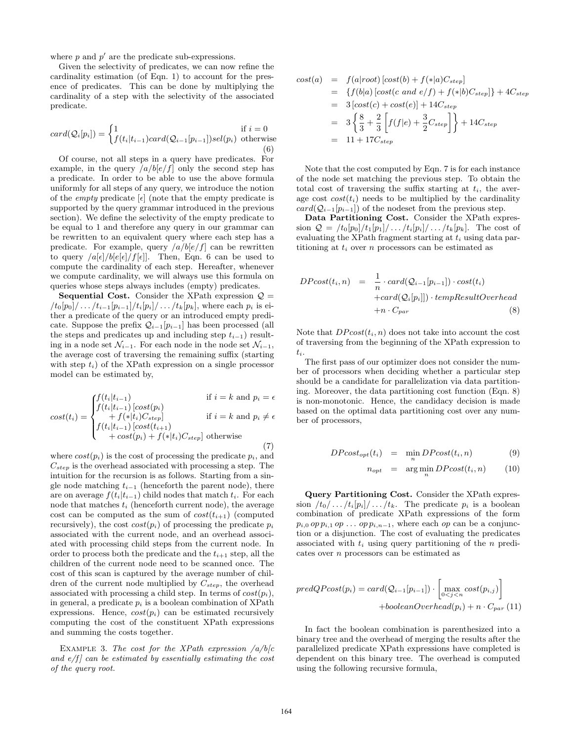where  $p$  and  $p'$  are the predicate sub-expressions.

Given the selectivity of predicates, we can now refine the cardinality estimation (of Eqn. 1) to account for the presence of predicates. This can be done by multiplying the cardinality of a step with the selectivity of the associated predicate.

$$
card(Q_i[p_i]) = \begin{cases} 1 & \text{if } i = 0\\ f(t_i|t_{i-1})card(Q_{i-1}[p_{i-1}])sel(p_i) & \text{otherwise} \end{cases}
$$
(6)

Of course, not all steps in a query have predicates. For example, in the query  $\frac{a}{b}e/f$  only the second step has a predicate. In order to be able to use the above formula uniformly for all steps of any query, we introduce the notion of the *empty* predicate  $[\epsilon]$  (note that the empty predicate is supported by the query grammar introduced in the previous section). We define the selectivity of the empty predicate to be equal to 1 and therefore any query in our grammar can be rewritten to an equivalent query where each step has a predicate. For example, query  $\frac{a}{b}e/f$  can be rewritten to query  $a[\epsilon]/b[\epsilon[\epsilon]/f[\epsilon]]$ . Then, Eqn. 6 can be used to compute the cardinality of each step. Hereafter, whenever we compute cardinality, we will always use this formula on queries whose steps always includes (empty) predicates.

**Sequential Cost.** Consider the XPath expression  $Q =$  $/t_0[p_0]/ \dots /t_{i-1}[p_{i-1}]/t_i[p_i] / \dots / t_k[p_k]$ , where each  $p_i$  is either a predicate of the query or an introduced empty predicate. Suppose the prefix  $Q_{i-1}[p_{i-1}]$  has been processed (all the steps and predicates up and including step  $t_{i-1}$ ) resulting in a node set  $\mathcal{N}_{i-1}$ . For each node in the node set  $\mathcal{N}_{i-1}$ , the average cost of traversing the remaining suffix (starting with step  $t_i$ ) of the XPath expression on a single processor model can be estimated by,

$$
cost(t_i) = \begin{cases} f(t_i|t_{i-1}) & \text{if } i = k \text{ and } p_i = \epsilon \\ f(t_i|t_{i-1}) [cost(p_i) \\ + f(*|t_i)C_{step}] & \text{if } i = k \text{ and } p_i \neq \epsilon \\ f(t_i|t_{i-1}) [cost(t_{i+1}) \\ + cost(p_i) + f(*|t_i)C_{step}] \text{ otherwise} \end{cases}
$$
(7)

where  $cost(p_i)$  is the cost of processing the predicate  $p_i$ , and  $C_{step}$  is the overhead associated with processing a step. The intuition for the recursion is as follows. Starting from a single node matching  $t_{i-1}$  (henceforth the parent node), there are on average  $f(t_i|t_{i-1})$  child nodes that match  $t_i$ . For each node that matches  $t_i$  (henceforth current node), the average cost can be computed as the sum of  $cost(t_{i+1})$  (computed recursively), the cost  $cost(p_i)$  of processing the predicate  $p_i$ associated with the current node, and an overhead associated with processing child steps from the current node. In order to process both the predicate and the  $t_{i+1}$  step, all the children of the current node need to be scanned once. The cost of this scan is captured by the average number of children of the current node multiplied by  $C_{step}$ , the overhead associated with processing a child step. In terms of  $cost(p_i)$ , in general, a predicate  $p_i$  is a boolean combination of XPath expressions. Hence,  $cost(p_i)$  can be estimated recursively computing the cost of the constituent XPath expressions and summing the costs together.

EXAMPLE 3. The cost for the XPath expression  $\sqrt{a/b/c}$ and  $e/f$  can be estimated by essentially estimating the cost of the query root.

$$
cost(a) = f(a|root) [cost(b) + f(*|a)C_{step}]
$$
  
= {f(b|a) [cost(c and e/f) + f(\*|b)C<sub>step</sub>]} + 4C<sub>step</sub>  
= 3 [cost(c) + cost(e)] + 14C<sub>step</sub>  
= 3 { $\frac{8}{3} + \frac{2}{3}$  [f(f|e) +  $\frac{3}{2}$ C<sub>step</sub>] + 14C<sub>step</sub>  
= 11 + 17C<sub>step</sub>

Note that the cost computed by Eqn. 7 is for each instance of the node set matching the previous step. To obtain the total cost of traversing the suffix starting at  $t_i$ , the average cost  $cost(t_i)$  needs to be multiplied by the cardinality  $card(Q_{i-1}|p_{i-1}|)$  of the nodeset from the previous step.

Data Partitioning Cost. Consider the XPath expression  $Q = /t_0[p_0]/t_1[p_1]/ \ldots /t_i[p_i]/ \ldots /t_k[p_k]$ . The cost of evaluating the XPath fragment starting at  $t_i$  using data partitioning at  $t_i$  over n processors can be estimated as

$$
DPost(t_i, n) = \frac{1}{n} \cdot card(Q_{i-1}[p_{i-1}]) \cdot cost(t_i)
$$

$$
+ card(Q_i[p_i]]) \cdot tempResultOverhead
$$

$$
+ n \cdot C_{par}
$$
(8)

Note that  $DPoset(t_i, n)$  does not take into account the cost of traversing from the beginning of the XPath expression to  $t_i$ .

The first pass of our optimizer does not consider the number of processors when deciding whether a particular step should be a candidate for parallelization via data partitioning. Moreover, the data partitioning cost function (Eqn. 8) is non-monotonic. Hence, the candidacy decision is made based on the optimal data partitioning cost over any number of processors,

$$
DPost_{opt}(t_i) = \min_{n} DPost(t_i, n) \tag{9}
$$

$$
n_{opt} = \arg\min_{n} DPost(t_i, n) \qquad (10)
$$

Query Partitioning Cost. Consider the XPath expression  $/t_0/\ldots/t_i[p_i]/\ldots/t_k$ . The predicate  $p_i$  is a boolean combination of predicate XPath expressions of the form  $p_{i,0}$  op  $p_{i,1}$  op  $\ldots$  op  $p_{i,n-1}$ , where each op can be a conjunction or a disjunction. The cost of evaluating the predicates associated with  $t_i$  using query partitioning of the *n* predicates over n processors can be estimated as

$$
predQPost(p_i) = card(Q_{i-1}[p_{i-1}]) \cdot \begin{bmatrix} \max_{0 \le j \le n} cost(p_{i,j}) \\ +booleanOverhead(p_i) + n \cdot C_{par} \end{bmatrix}
$$

In fact the boolean combination is parenthesized into a binary tree and the overhead of merging the results after the parallelized predicate XPath expressions have completed is dependent on this binary tree. The overhead is computed using the following recursive formula,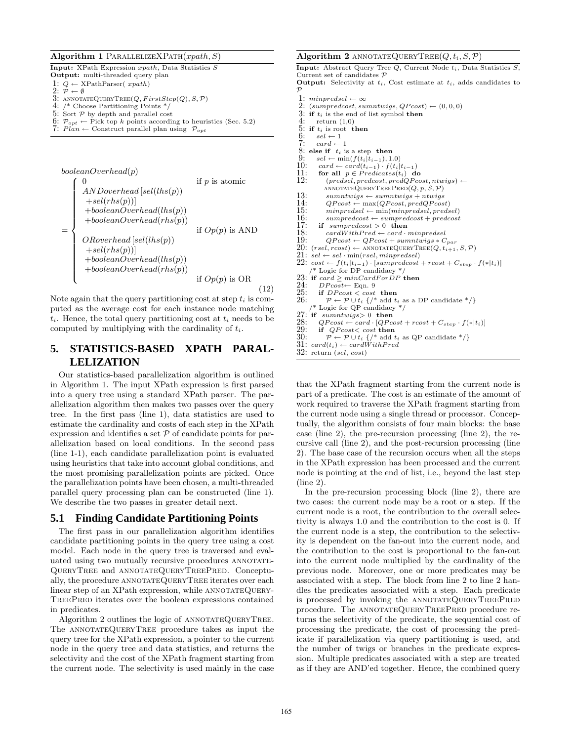#### Algorithm 1 PARALLELIZEXPATH $(xpath, S)$

Input: XPath Expression xpath, Data Statistics S

Output: multi-threaded query plan

1:  $Q \leftarrow \text{XPathParser}(\ \text{xpath})$ 2:  $\dot{\mathcal{P}} \leftarrow \emptyset$ 

- 3: ANNOTATEQUERYTREE $(Q, FirstStep(Q), S, P)$ <br>4: /\* Choose Partitioning Points \*/
- 4: /\* Choose Partitioning Points \*/
- 5: Sort  $P$  by depth and parallel cost
- 6:  $\mathcal{P}_{\text{out}} \leftarrow$  Pick top k points according to heuristics (Sec. 5.2)
- 7:  $Plan \leftarrow$  Construct parallel plan using  $\mathcal{P}_{opt}$

\n
$$
booleanOverhead(p)
$$
\n if  $p$  is atomic\n 
$$
ANDoverhead[sel(lhs(p))
$$
\n
$$
+ sel(rhs(p))]
$$
\n
$$
+ booleanOverhead(lhs(p))
$$
\n
$$
+ booleanOverhead(rhs(p))
$$
\n if  $Op(p)$  is AND\n  $ORoverhead[sel(lhs(p))]$ \n
$$
+ self(rhs(p))]
$$
\n
$$
+ booleanOverhead(lhs(p))
$$
\n
$$
+ booleanOverhead(lhs(p))
$$
\n
$$
+ booleanOverhead(rhs(p))
$$
\n if  $Op(p)$  is OR\n (12)\n

Note again that the query partitioning cost at step  $t_i$  is computed as the average cost for each instance node matching  $t_i$ . Hence, the total query partitioning cost at  $t_i$  needs to be computed by multiplying with the cardinality of  $t_i$ .

# **5. STATISTICS-BASED XPATH PARAL-LELIZATION**

Our statistics-based parallelization algorithm is outlined in Algorithm 1. The input XPath expression is first parsed into a query tree using a standard XPath parser. The parallelization algorithm then makes two passes over the query tree. In the first pass (line 1), data statistics are used to estimate the cardinality and costs of each step in the XPath expression and identifies a set  $P$  of candidate points for parallelization based on local conditions. In the second pass (line 1-1), each candidate parallelization point is evaluated using heuristics that take into account global conditions, and the most promising parallelization points are picked. Once the parallelization points have been chosen, a multi-threaded parallel query processing plan can be constructed (line 1). We describe the two passes in greater detail next.

# **5.1 Finding Candidate Partitioning Points**

The first pass in our parallelization algorithm identifies candidate partitioning points in the query tree using a cost model. Each node in the query tree is traversed and evaluated using two mutually recursive procedures ANNOTATE-QueryTree and annotateQueryTreePred. Conceptually, the procedure ANNOTATEQUERYTREE iterates over each linear step of an XPath expression, while ANNOTATEQUERY-TreePred iterates over the boolean expressions contained in predicates.

Algorithm 2 outlines the logic of ANNOTATEQUERYTREE. The ANNOTATEQUERYTREE procedure takes as input the query tree for the XPath expression, a pointer to the current node in the query tree and data statistics, and returns the selectivity and the cost of the XPath fragment starting from the current node. The selectivity is used mainly in the case

#### Algorithm 2 ANNOTATEQUERYTREE( $Q, t_i, S, P$ )

Input: Abstract Query Tree  $Q$ , Current Node  $t_i$ , Data Statistics  $S$ , Current set of candidates P **Output:** Selectivity at  $t_i$ , Cost estimate at  $t_i$ , adds candidates to  $\mathcal{P}$ 1: minpredsel  $\leftarrow \infty$ <br>2: (sumpredcost, su 2:  $(sumpredcost, sumntwigs, QPcost) \leftarrow (0, 0, 0)$ <br>3: if  $t_i$  is the end of list symbol **then** 3: if  $t_i$  is the end of list symbol then<br>4: return (1.0) return  $(1,0)$ 5: if  $t_i$  is root then<br>6:  $sel \leftarrow 1$ 6:  $sel \leftarrow 1$ <br>7:  $card \leftarrow$  $card \leftarrow 1$ 8: else if  $t_i$  is a step then<br>9:  $sel \leftarrow min(f(t_i|t_{i-1}), 1)$ 9:  $sel \leftarrow \min(f(t_i|t_{i-1}), 1.0)$ <br>10:  $card \leftarrow card(t_{i-1}) \cdot f(t_i)$ 10: card ← card $(t_{i-1}) \cdot f(t_i|t_{i-1})$ <br>11: for all  $n \in Predicates(t_1)$  de 11: for all  $p \in \text{Predict}(t_i)$  do<br>12: (predsel, predcost, predQPco  $(predsel, predcost, predQPcost, ntwigs) \leftarrow$  $A$ NNOTATEQUERYTREEPRED $(Q, p, S, P)$ 13:  $sumntwigs \leftarrow sumntwigs \leftarrow sumntwigs + ntwigs$ <br>14:  $QPost \leftarrow max(QPost, predQPcos)$ 14:  $QPcost \leftarrow max(QPcost, predQPcost)$ <br>15:  $minpredsel \leftarrow min(minpredsel, rreds)$ 15:  $minpredsel \leftarrow min(minpredsel, predsel)$ <br>16:  $sumpredcost \leftarrow sumpredcost + predcost$ 16:  $sumpredcost \leftarrow summedcost + predcost$ <br>17: if  $sumpredcost > 0$  then 17: if  $sumpredcost > 0$  then<br>18:  $cardWithPred \leftarrow card \cdot minpredsel$ 19:  $QP\cos t \leftarrow QP\cos t + sumntwigs * C_{par}$ 20:  $(resel, roost) \leftarrow \text{ANNOTATEQUERTREE}(Q, t_{i+1}, S, P)$  $21:$  sel  $\leftarrow$  sel  $\cdot$  min(rsel, minpredsel) 22:  $cost \leftarrow f(t_i|t_{i-1}) \cdot [sumpredcost + rcost + C_{step} \cdot f(*|t_i)]$ /\* Logic for DP candidacy \*/ 23: if card  $\geq minCardForDP$  then<br>24:  $DPcost \leftarrow \text{Eqn. } 9$ 24:  $DPost \leftarrow \text{Eqn. 9}$ <br>25: if  $DPost < cost$ 25: if  $DPost \leq \cos t$  then<br>26:  $\mathcal{P} \leftarrow \mathcal{P} \cup t_i$  {/\* add  $t_i$  as a DP candidate \*/} /\* Logic for QP candidacy \*/ 27: if sumntwigs> 0 then<br>28:  $Q$ Pcost  $\leftarrow$  card  $[Q$ Pcost 28:  $QPcost \leftarrow card \cdot [QPcost + rost + C_{step} \cdot f(*|t_i)]$ <br>29: if  $QPcost \leftarrow cost$  then 29: if  $QPcost \lt \text{cost}$  then<br>30:  $P \leftarrow P \cup t_i$  {/\* add t

- $\mathcal{P} \leftarrow \mathcal{P} \cup t_i$  {/\* add  $t_i$  as QP candidate \*/}
- 31:  $card(t_i) \leftarrow cardWithPred$
- 32: return (sel, cost)

that the XPath fragment starting from the current node is part of a predicate. The cost is an estimate of the amount of work required to traverse the XPath fragment starting from the current node using a single thread or processor. Conceptually, the algorithm consists of four main blocks: the base case (line 2), the pre-recursion processing (line 2), the recursive call (line 2), and the post-recursion processing (line 2). The base case of the recursion occurs when all the steps in the XPath expression has been processed and the current node is pointing at the end of list, i.e., beyond the last step  $(\text{line } 2)$ .

In the pre-recursion processing block (line 2), there are two cases: the current node may be a root or a step. If the current node is a root, the contribution to the overall selectivity is always 1.0 and the contribution to the cost is 0. If the current node is a step, the contribution to the selectivity is dependent on the fan-out into the current node, and the contribution to the cost is proportional to the fan-out into the current node multiplied by the cardinality of the previous node. Moreover, one or more predicates may be associated with a step. The block from line 2 to line 2 handles the predicates associated with a step. Each predicate is processed by invoking the ANNOTATEQUERYTREEPRED procedure. The ANNOTATEQUERYTREEPRED procedure returns the selectivity of the predicate, the sequential cost of processing the predicate, the cost of processing the predicate if parallelization via query partitioning is used, and the number of twigs or branches in the predicate expression. Multiple predicates associated with a step are treated as if they are AND'ed together. Hence, the combined query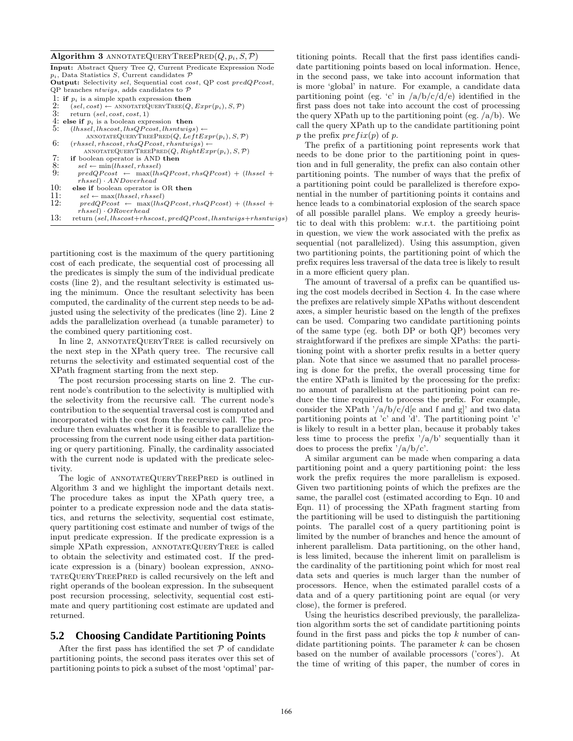#### Algorithm 3 ANNOTATEQUERYTREEPRED $(Q, p_i, S, P)$

| <b>Input:</b> Abstract Query Tree Q, Current Predicate Expression Node       |
|------------------------------------------------------------------------------|
| $p_i$ , Data Statistics S, Current candidates $\mathcal P$                   |
| <b>Output:</b> Selectivity sel, Sequential cost cost, QP cost predQPcost,    |
| QP branches <i>ntwigs</i> , adds candidates to $\mathcal P$                  |
| 1: if $p_i$ is a simple xpath expression then                                |
| 2:<br>$(self, cost) \leftarrow \text{ANNOTATEQUERVTREE}(Q, Expr(p_i), S, P)$ |
| 3:<br>return $(self, cost, cost, 1)$                                         |
| 4: else if $p_i$ is a boolean expression then                                |
| 5:<br>$(lhssel, lhscost, lhsQPost, lhsntwigs) \leftarrow$                    |
| ANNOTATEQUERYTREEPRED $(Q, LeftError(p_i), S, P)$                            |
| 6:<br>$(rhssel, rhscost, rhsQPost, rhsntwigs) \leftarrow$                    |
| ANNOTATEQUERYTREEPRED $(Q, RightError(p_i), S, P)$                           |
| 7:<br>if boolean operator is AND then                                        |
| 8:<br>$sel \leftarrow min(lhssel, rhssel)$                                   |
| 9:<br>$predQPost \leftarrow max(lhsQPost,rhsQPost) + (lhsel +$               |
| $r$ hssel $) \cdot AND overhead$                                             |
| 10:<br>else if boolean operator is OR then                                   |
| 11:<br>$sel \leftarrow max(lhssel, rhssel)$                                  |
| 12:<br>$predQPost \leftarrow max(lhsQPost,rhsQPost) + (lhsel +$              |
| $(rhssel) \cdot OR overhead$                                                 |
| 13:<br>return (sel, lhscost+rhscost, predQPcost, lhsntwigs+rhsntwigs)        |
|                                                                              |

partitioning cost is the maximum of the query partitioning cost of each predicate, the sequential cost of processing all the predicates is simply the sum of the individual predicate costs (line 2), and the resultant selectivity is estimated using the minimum. Once the resultant selectivity has been computed, the cardinality of the current step needs to be adjusted using the selectivity of the predicates (line 2). Line 2 adds the parallelization overhead (a tunable parameter) to the combined query partitioning cost.

In line 2, ANNOTATEQUERYTREE is called recursively on the next step in the XPath query tree. The recursive call returns the selectivity and estimated sequential cost of the XPath fragment starting from the next step.

The post recursion processing starts on line 2. The current node's contribution to the selectivity is multiplied with the selectivity from the recursive call. The current node's contribution to the sequential traversal cost is computed and incorporated with the cost from the recursive call. The procedure then evaluates whether it is feasible to parallelize the processing from the current node using either data partitioning or query partitioning. Finally, the cardinality associated with the current node is updated with the predicate selectivity.

The logic of ANNOTATEQUERYTREEPRED is outlined in Algorithm 3 and we highlight the important details next. The procedure takes as input the XPath query tree, a pointer to a predicate expression node and the data statistics, and returns the selectivity, sequential cost estimate, query partitioning cost estimate and number of twigs of the input predicate expression. If the predicate expression is a simple XPath expression, ANNOTATEQUERYTREE is called to obtain the selectivity and estimated cost. If the predicate expression is a (binary) boolean expression, annotateQueryTreePred is called recursively on the left and right operands of the boolean expression. In the subsequent post recursion processing, selectivity, sequential cost estimate and query partitioning cost estimate are updated and returned.

### **5.2 Choosing Candidate Partitioning Points**

After the first pass has identified the set  $P$  of candidate partitioning points, the second pass iterates over this set of partitioning points to pick a subset of the most 'optimal' partitioning points. Recall that the first pass identifies candidate partitioning points based on local information. Hence, in the second pass, we take into account information that is more 'global' in nature. For example, a candidate data partitioning point (eg. 'c' in  $\frac{a}{b}c/d$ ) identified in the first pass does not take into account the cost of processing the query XPath up to the partitioning point (eg.  $/a/b$ ). We call the query XPath up to the candidate partitioning point p the prefix  $prefix(p)$  of p.

The prefix of a partitioning point represents work that needs to be done prior to the partitioning point in question and in full generality, the prefix can also contain other partitioning points. The number of ways that the prefix of a partitioning point could be parallelized is therefore exponential in the number of partitioning points it contains and hence leads to a combinatorial explosion of the search space of all possible parallel plans. We employ a greedy heuristic to deal with this problem: w.r.t. the partitioing point in question, we view the work associated with the prefix as sequential (not parallelized). Using this assumption, given two partitioning points, the partitioning point of which the prefix requires less traversal of the data tree is likely to result in a more efficient query plan.

The amount of traversal of a prefix can be quantified using the cost models decribed in Section 4. In the case where the prefixes are relatively simple XPaths without descendent axes, a simpler heuristic based on the length of the prefixes can be used. Comparing two candidate partitioning points of the same type (eg. both DP or both QP) becomes very straightforward if the prefixes are simple XPaths: the partitioning point with a shorter prefix results in a better query plan. Note that since we assumed that no parallel processing is done for the prefix, the overall processing time for the entire XPath is limited by the processing for the prefix: no amount of parallelism at the partitioning point can reduce the time required to process the prefix. For example, consider the XPath  $\frac{7a}{b}/c/d$ e and f and g]' and two data partitioning points at 'c' and 'd'. The partitioning point 'c' is likely to result in a better plan, because it probably takes less time to process the prefix  $\frac{1}{a}$  /b' sequentially than it does to process the prefix  $\frac{7}{a}{b}/c$ .

A similar argument can be made when comparing a data partitioning point and a query partitioning point: the less work the prefix requires the more parallelism is exposed. Given two partitioning points of which the prefixes are the same, the parallel cost (estimated according to Eqn. 10 and Eqn. 11) of processing the XPath fragment starting from the partitioning will be used to distinguish the partitioning points. The parallel cost of a query partitioning point is limited by the number of branches and hence the amount of inherent parallelism. Data partitioning, on the other hand, is less limited, because the inherent limit on parallelism is the cardinality of the partitioning point which for most real data sets and queries is much larger than the number of processors. Hence, when the estimated parallel costs of a data and of a query partitioning point are equal (or very close), the former is prefered.

Using the heuristics described previously, the parallelization algorithm sorts the set of candidate partitioning points found in the first pass and picks the top  $k$  number of candidate partitioning points. The parameter  $k$  can be chosen based on the number of available processors ('cores'). At the time of writing of this paper, the number of cores in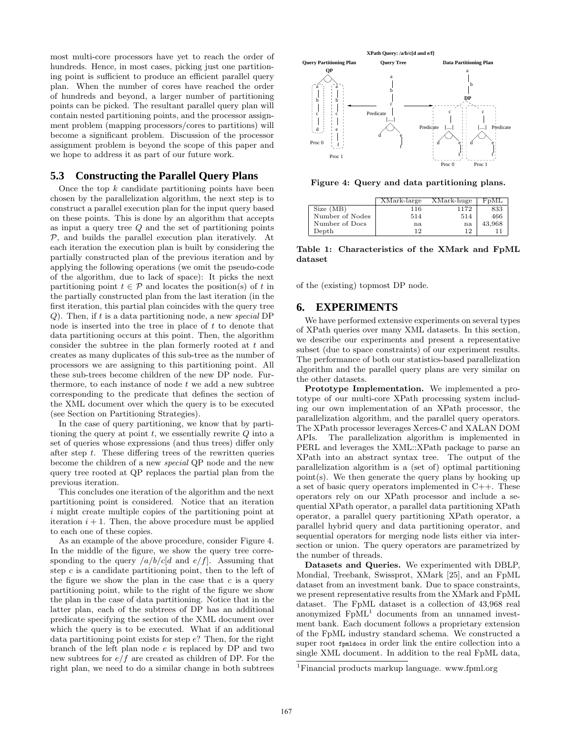most multi-core processors have yet to reach the order of hundreds. Hence, in most cases, picking just one partitioning point is sufficient to produce an efficient parallel query plan. When the number of cores have reached the order of hundreds and beyond, a larger number of partitioning points can be picked. The resultant parallel query plan will contain nested partitioning points, and the processor assignment problem (mapping processors/cores to partitions) will become a significant problem. Discussion of the processor assignment problem is beyond the scope of this paper and we hope to address it as part of our future work.

# **5.3 Constructing the Parallel Query Plans**

Once the top  $k$  candidate partitioning points have been chosen by the parallelization algorithm, the next step is to construct a parallel execution plan for the input query based on these points. This is done by an algorithm that accepts as input a query tree  $Q$  and the set of partitioning points  $P$ , and builds the parallel execution plan iteratively. At each iteration the execution plan is built by considering the partially constructed plan of the previous iteration and by applying the following operations (we omit the pseudo-code of the algorithm, due to lack of space): It picks the next partitioning point  $t \in \mathcal{P}$  and locates the position(s) of t in the partially constructed plan from the last iteration (in the first iteration, this partial plan coincides with the query tree  $Q$ ). Then, if t is a data partitioning node, a new special DP node is inserted into the tree in place of  $t$  to denote that data partitioning occurs at this point. Then, the algorithm consider the subtree in the plan formerly rooted at  $t$  and creates as many duplicates of this sub-tree as the number of processors we are assigning to this partitioning point. All these sub-trees become children of the new DP node. Furthermore, to each instance of node  $t$  we add a new subtree corresponding to the predicate that defines the section of the XML document over which the query is to be executed (see Section on Partitioning Strategies).

In the case of query partitioning, we know that by partitioning the query at point  $t$ , we essentially rewrite  $Q$  into a set of queries whose expressions (and thus trees) differ only after step  $t$ . These differing trees of the rewritten queries become the children of a new special QP node and the new query tree rooted at QP replaces the partial plan from the previous iteration.

This concludes one iteration of the algorithm and the next partitioning point is considered. Notice that an iteration i might create multiple copies of the partitioning point at iteration  $i + 1$ . Then, the above procedure must be applied to each one of these copies.

As an example of the above procedure, consider Figure 4. In the middle of the figure, we show the query tree corresponding to the query  $\frac{a}{b}c[d]$  and  $e/f$ . Assuming that step  $c$  is a candidate partitioning point, then to the left of the figure we show the plan in the case that  $c$  is a query partitioning point, while to the right of the figure we show the plan in the case of data partitioning. Notice that in the latter plan, each of the subtrees of DP has an additional predicate specifying the section of the XML document over which the query is to be executed. What if an additional data partitioning point exists for step e? Then, for the right branch of the left plan node e is replaced by DP and two new subtrees for  $e/f$  are created as children of DP. For the right plan, we need to do a similar change in both subtrees



Figure 4: Query and data partitioning plans.

|                 | XMark-large | XMark-huge | FpML   |
|-----------------|-------------|------------|--------|
| Size(MB)        | 116         | 1172       | 833    |
| Number of Nodes | 514         | 514        | 466    |
| Number of Docs  | na          | na         | 43,968 |
| Depth           | 1 Q         | 19         |        |

Table 1: Characteristics of the XMark and FpML dataset

of the (existing) topmost DP node.

# **6. EXPERIMENTS**

We have performed extensive experiments on several types of XPath queries over many XML datasets. In this section, we describe our experiments and present a representative subset (due to space constraints) of our experiment results. The performance of both our statistics-based parallelization algorithm and the parallel query plans are very similar on the other datasets.

Prototype Implementation. We implemented a prototype of our multi-core XPath processing system including our own implementation of an XPath processor, the parallelization algorithm, and the parallel query operators. The XPath processor leverages Xerces-C and XALAN DOM APIs. The parallelization algorithm is implemented in PERL and leverages the XML::XPath package to parse an XPath into an abstract syntax tree. The output of the parallelization algorithm is a (set of) optimal partitioning point(s). We then generate the query plans by hooking up a set of basic query operators implemented in C++. These operators rely on our XPath processor and include a sequential XPath operator, a parallel data partitioning XPath operator, a parallel query partitioning XPath operator, a parallel hybrid query and data partitioning operator, and sequential operators for merging node lists either via intersection or union. The query operators are parametrized by the number of threads.

Datasets and Queries. We experimented with DBLP, Mondial, Treebank, Swissprot, XMark [25], and an FpML dataset from an investment bank. Due to space constraints, we present representative results from the XMark and FpML dataset. The FpML dataset is a collection of 43,968 real anonymized  $FpML<sup>1</sup>$  documents from an unnamed investment bank. Each document follows a proprietary extension of the FpML industry standard schema. We constructed a super root fpmldocs in order link the entire collection into a single XML document. In addition to the real FpML data,

<sup>1</sup>Financial products markup language. www.fpml.org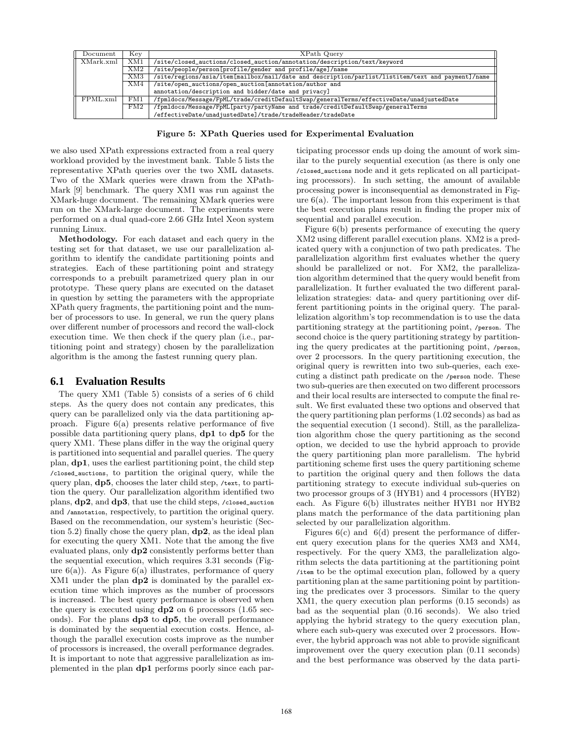| Document  | Kev        | XPath Query                                                                                       |  |  |
|-----------|------------|---------------------------------------------------------------------------------------------------|--|--|
| XMark.xml | XM1        | /site/closed_auctions/closed_auction/annotation/description/text/keyword                          |  |  |
|           | $\rm{XM2}$ | /site/people/person[profile/gender and profile/age]/name                                          |  |  |
|           | XM3        | /site/regions/asia/item[mailbox/mail/date and description/parlist/listitem/text and payment]/name |  |  |
|           | XM4        | /site/open_auctions/open_auction[annotation/author and                                            |  |  |
|           |            | annotation/description and bidder/date and privacy]                                               |  |  |
| FPML.xml  | FM1        | /fpmldocs/Message/FpML/trade/creditDefaultSwap/generalTerms/effectiveDate/unadjustedDate          |  |  |
|           | FM2        | /fpmldocs/Message/FpML[party/partyName and trade/creditDefaultSwap/generalTerms                   |  |  |
|           |            | /effectiveDate/unadjustedDate]/trade/tradeHeader/tradeDate                                        |  |  |

Figure 5: XPath Queries used for Experimental Evaluation

we also used XPath expressions extracted from a real query workload provided by the investment bank. Table 5 lists the representative XPath queries over the two XML datasets. Two of the XMark queries were drawn from the XPath-Mark [9] benchmark. The query XM1 was run against the XMark-huge document. The remaining XMark queries were run on the XMark-large document. The experiments were performed on a dual quad-core 2.66 GHz Intel Xeon system running Linux.

Methodology. For each dataset and each query in the testing set for that dataset, we use our parallelization algorithm to identify the candidate partitioning points and strategies. Each of these partitioning point and strategy corresponds to a prebuilt parametrized query plan in our prototype. These query plans are executed on the dataset in question by setting the parameters with the appropriate XPath query fragments, the partitioning point and the number of processors to use. In general, we run the query plans over different number of processors and record the wall-clock execution time. We then check if the query plan (i.e., partitioning point and strategy) chosen by the parallelization algorithm is the among the fastest running query plan.

### **6.1 Evaluation Results**

The query XM1 (Table 5) consists of a series of 6 child steps. As the query does not contain any predicates, this query can be parallelized only via the data partitioning approach. Figure 6(a) presents relative performance of five possible data partitioning query plans, dp1 to dp5 for the query XM1. These plans differ in the way the original query is partitioned into sequential and parallel queries. The query plan, dp1, uses the earliest partitioning point, the child step /closed\_auctions, to partition the original query, while the query plan, dp5, chooses the later child step, /text, to partition the query. Our parallelization algorithm identified two plans, dp2, and dp3, that use the child steps, /closed\_auction and /annotation, respectively, to partition the original query. Based on the recommendation, our system's heuristic (Section 5.2) finally chose the query plan,  $dp2$ , as the ideal plan for executing the query XM1. Note that the among the five evaluated plans, only dp2 consistently performs better than the sequential execution, which requires 3.31 seconds (Figure  $6(a)$ ). As Figure  $6(a)$  illustrates, performance of query XM1 under the plan dp2 is dominated by the parallel execution time which improves as the number of processors is increased. The best query performance is observed when the query is executed using  $dp2$  on 6 processors (1.65 seconds). For the plans dp3 to dp5, the overall performance is dominated by the sequential execution costs. Hence, although the parallel execution costs improve as the number of processors is increased, the overall performance degrades. It is important to note that aggressive parallelization as implemented in the plan dp1 performs poorly since each participating processor ends up doing the amount of work similar to the purely sequential execution (as there is only one /closed\_auctions node and it gets replicated on all participating processors). In such setting, the amount of available processing power is inconsequential as demonstrated in Figure  $6(a)$ . The important lesson from this experiment is that the best execution plans result in finding the proper mix of sequential and parallel execution.

Figure 6(b) presents performance of executing the query XM2 using different parallel execution plans. XM2 is a predicated query with a conjunction of two path predicates. The parallelization algorithm first evaluates whether the query should be parallelized or not. For XM2, the parallelization algorithm determined that the query would benefit from parallelization. It further evaluated the two different parallelization strategies: data- and query partitioning over different partitioning points in the original query. The parallelization algorithm's top recommendation is to use the data partitioning strategy at the partitioning point, /person. The second choice is the query partitioning strategy by partitioning the query predicates at the partitioning point, /person, over 2 processors. In the query partitioning execution, the original query is rewritten into two sub-queries, each executing a distinct path predicate on the /person node. These two sub-queries are then executed on two different processors and their local results are intersected to compute the final result. We first evaluated these two options and observed that the query partitioning plan performs (1.02 seconds) as bad as the sequential execution (1 second). Still, as the parallelization algorithm chose the query partitioning as the second option, we decided to use the hybrid approach to provide the query partitioning plan more parallelism. The hybrid partitioning scheme first uses the query partitioning scheme to partition the original query and then follows the data partitioning strategy to execute individual sub-queries on two processor groups of 3 (HYB1) and 4 processors (HYB2) each. As Figure 6(b) illustrates neither HYB1 nor HYB2 plans match the performance of the data partitioning plan selected by our parallelization algorithm.

Figures  $6(c)$  and  $6(d)$  present the performance of different query execution plans for the queries XM3 and XM4, respectively. For the query XM3, the parallelization algorithm selects the data partitioning at the partitioning point /item to be the optimal execution plan, followed by a query partitioning plan at the same partitioning point by partitioning the predicates over 3 processors. Similar to the query XM1, the query execution plan performs (0.15 seconds) as bad as the sequential plan (0.16 seconds). We also tried applying the hybrid strategy to the query execution plan, where each sub-query was executed over 2 processors. However, the hybrid approach was not able to provide significant improvement over the query execution plan (0.11 seconds) and the best performance was observed by the data parti-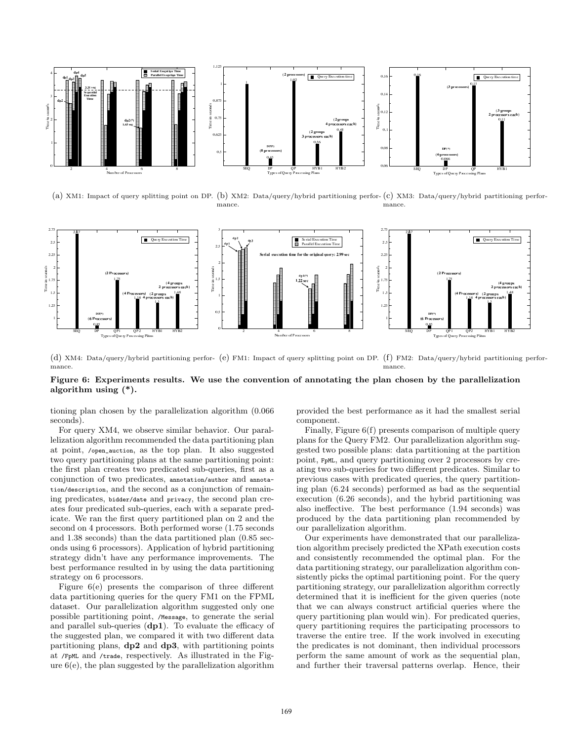

(a) XM1: Impact of query splitting point on DP. (b) XM2: Data/query/hybrid partitioning perfor-(c) XM3: Data/query/hybrid partitioning performance. mance.



(d) XM4: Data/query/hybrid partitioning perfor-(e) FM1: Impact of query splitting point on DP. (f) FM2: Data/query/hybrid partitioning performance. mance.

#### Figure 6: Experiments results. We use the convention of annotating the plan chosen by the parallelization algorithm using (\*).

tioning plan chosen by the parallelization algorithm (0.066 seconds).

For query XM4, we observe similar behavior. Our parallelization algorithm recommended the data partitioning plan at point, /open\_auction, as the top plan. It also suggested two query partitioning plans at the same partitioning point: the first plan creates two predicated sub-queries, first as a conjunction of two predicates, annotation/author and annotation/description, and the second as a conjunction of remaining predicates, bidder/date and privacy, the second plan creates four predicated sub-queries, each with a separate predicate. We ran the first query partitioned plan on 2 and the second on 4 processors. Both performed worse (1.75 seconds and 1.38 seconds) than the data partitioned plan (0.85 seconds using 6 processors). Application of hybrid partitioning strategy didn't have any performance improvements. The best performance resulted in by using the data partitioning strategy on 6 processors.

Figure 6(e) presents the comparison of three different data partitioning queries for the query FM1 on the FPML dataset. Our parallelization algorithm suggested only one possible partitioning point, /Message, to generate the serial and parallel sub-queries (dp1). To evaluate the efficacy of the suggested plan, we compared it with two different data partitioning plans, dp2 and dp3, with partitioning points at /FpML and /trade, respectively. As illustrated in the Figure  $6(e)$ , the plan suggested by the parallelization algorithm provided the best performance as it had the smallest serial component.

Finally, Figure 6(f) presents comparison of multiple query plans for the Query FM2. Our parallelization algorithm suggested two possible plans: data partitioning at the partition point, FpML, and query partitioning over 2 processors by creating two sub-queries for two different predicates. Similar to previous cases with predicated queries, the query partitioning plan (6.24 seconds) performed as bad as the sequential execution (6.26 seconds), and the hybrid partitioning was also ineffective. The best performance (1.94 seconds) was produced by the data partitioning plan recommended by our parallelization algorithm.

Our experiments have demonstrated that our parallelization algorithm precisely predicted the XPath execution costs and consistently recommended the optimal plan. For the data partitioning strategy, our parallelization algorithm consistently picks the optimal partitioning point. For the query partitioning strategy, our parallelization algorithm correctly determined that it is inefficient for the given queries (note that we can always construct artificial queries where the query partitioning plan would win). For predicated queries, query partitioning requires the participating processors to traverse the entire tree. If the work involved in executing the predicates is not dominant, then individual processors perform the same amount of work as the sequential plan, and further their traversal patterns overlap. Hence, their